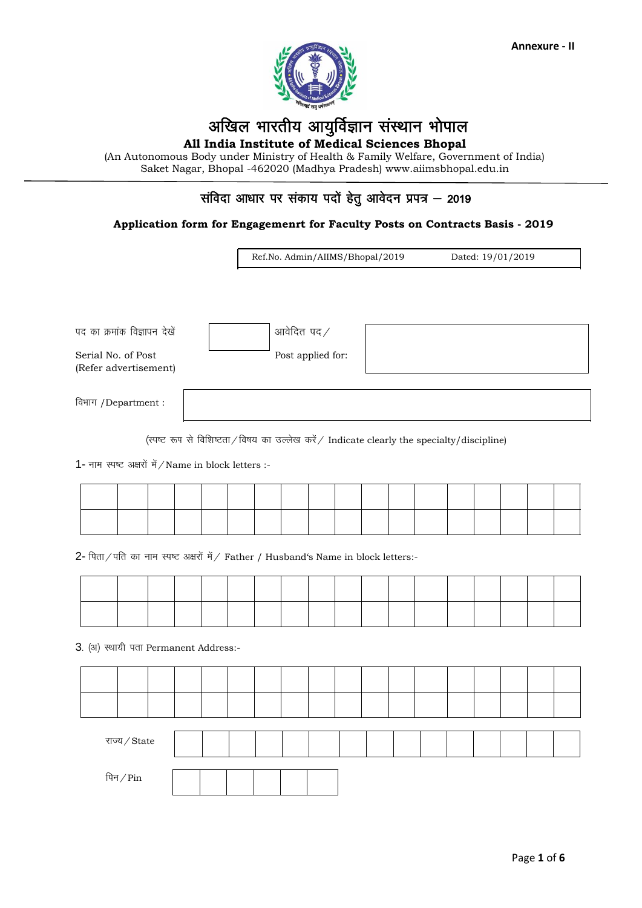

# अखिल भारतीय आयुर्विज्ञान संस्थान भोपाल

All India Institute of Medical Sciences Bhopal

(An Autonomous Body under Ministry of Health & Family Welfare, Government of India) Saket Nagar, Bhopal -462020 (Madhya Pradesh) www.aiimsbhopal.edu.in

## संविदा आधार पर संकाय पदों हेतु आवेदन प्रपत्र – 2019

#### Application form for Engagemenrt for Faculty Posts on Contracts Basis - 2019

Ref.No. Admin/AIIMS/Bhopal/2019 Dated: 19/01/2019

पद का क्रमांक विज्ञापन देखें

Serial No. of Post (Refer advertisement) Post applied for:

आवेदित पद /

विभाग /Department:

(स्पष्ट रूप से विशिष्टता/विषय का उल्लेख करें/ Indicate clearly the specialty/discipline)

1- नाम स्पष्ट अक्षरों में / Name in block letters :-

|  |  |  |  |  |  |                                                                                                                 | ______ |                                                                                                     |                                                                                                                 |  |
|--|--|--|--|--|--|-----------------------------------------------------------------------------------------------------------------|--------|-----------------------------------------------------------------------------------------------------|-----------------------------------------------------------------------------------------------------------------|--|
|  |  |  |  |  |  | the contract of the contract of the contract of the contract of the contract of the contract of the contract of |        | the contract of the contract of the contract of the contract of the contract of the contract of the | the contract of the contract of the contract of the contract of the contract of the contract of the contract of |  |

2- पिता / पति का नाम स्पष्ट अक्षरों में / Father / Husband's Name in block letters:-

3. (अ) स्थायी पता Permanent Address:-

राज्य/State पिन $/$ Pin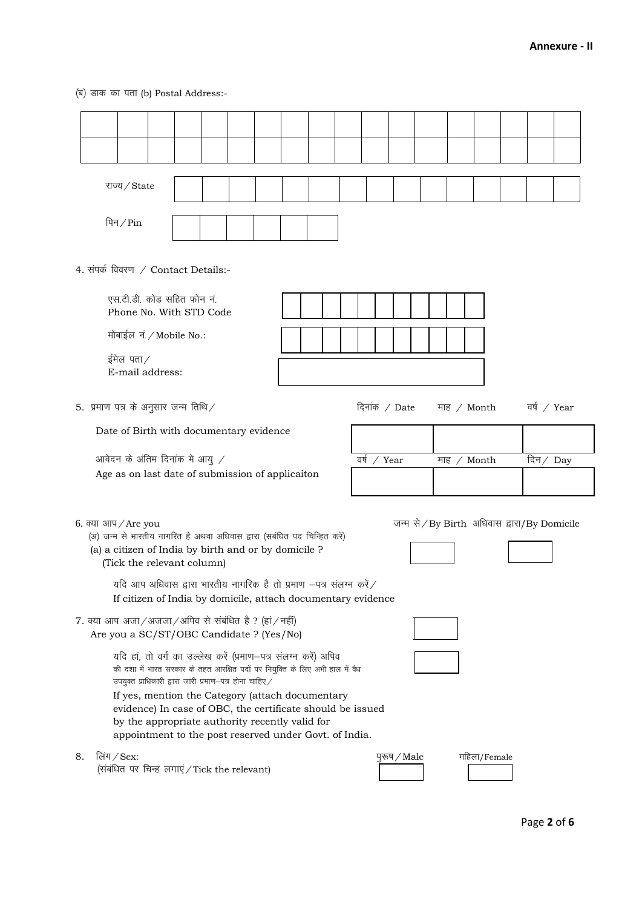(ब) डाक का पता (b) Postal Address:-

|    | राज्य/State                                                                                                                                                                                                                                                                                                                                                                                                                                     |  |  |  |  |  |  |             |                                               |  |                    |             |  |
|----|-------------------------------------------------------------------------------------------------------------------------------------------------------------------------------------------------------------------------------------------------------------------------------------------------------------------------------------------------------------------------------------------------------------------------------------------------|--|--|--|--|--|--|-------------|-----------------------------------------------|--|--------------------|-------------|--|
|    | पिन $/$ Pin                                                                                                                                                                                                                                                                                                                                                                                                                                     |  |  |  |  |  |  |             |                                               |  |                    |             |  |
|    | 4. संपर्क विवरण / Contact Details:-                                                                                                                                                                                                                                                                                                                                                                                                             |  |  |  |  |  |  |             |                                               |  |                    |             |  |
|    | एस.टी.डी. कोड सहित फोन नं.<br>Phone No. With STD Code                                                                                                                                                                                                                                                                                                                                                                                           |  |  |  |  |  |  |             |                                               |  |                    |             |  |
|    | मोबाईल नं. / Mobile No.:                                                                                                                                                                                                                                                                                                                                                                                                                        |  |  |  |  |  |  |             |                                               |  |                    |             |  |
|    | ईमेल पता $\angle$<br>E-mail address:                                                                                                                                                                                                                                                                                                                                                                                                            |  |  |  |  |  |  |             |                                               |  |                    |             |  |
|    | 5. प्रमाण पत्र के अनुसार जन्म तिथि $\angle$                                                                                                                                                                                                                                                                                                                                                                                                     |  |  |  |  |  |  |             | दिनांक / Date                                 |  | माह $\angle$ Month | वर्ष / Year |  |
|    | Date of Birth with documentary evidence                                                                                                                                                                                                                                                                                                                                                                                                         |  |  |  |  |  |  |             |                                               |  |                    |             |  |
|    | आवेदन के अंतिम दिनांक मे आयु $\angle$                                                                                                                                                                                                                                                                                                                                                                                                           |  |  |  |  |  |  | वर्ष / Year |                                               |  | माह / Month        | दिन $/$ Day |  |
|    | Age as on last date of submission of applicaiton                                                                                                                                                                                                                                                                                                                                                                                                |  |  |  |  |  |  |             |                                               |  |                    |             |  |
|    | 6. क्या आप $/$ Are you<br>(अ) जन्म से भारतीय नागरित है अथवा अधिवास द्वारा (सबंधित पद चिन्हित करें)<br>(a) a citizen of India by birth and or by domicile ?<br>(Tick the relevant column)<br>यदि आप अधिवास द्वारा भारतीय नागरिक है तो प्रमाण $-$ पत्र संलग्न करें $\angle$<br>If citizen of India by domicile, attach documentary evidence                                                                                                       |  |  |  |  |  |  |             | जन्म से / By Birth अधिवास द्वारा/ By Domicile |  |                    |             |  |
|    | $7.$ क्या आप अजा $/$ अजजा $/$ अपिव से संबंधित है ? (हां $/$ नहीं)<br>Are you a SC/ST/OBC Candidate ? (Yes/No)                                                                                                                                                                                                                                                                                                                                   |  |  |  |  |  |  |             |                                               |  |                    |             |  |
|    | यदि हां, तो वर्ग का उल्लेख करें (प्रमाण-पत्र संलग्न करें) अपिव<br>की दशा में भारत सरकार के तहत आरक्षित पदों पर नियुक्ति के लिए अभी हाल में वैध<br>उपयुक्त प्राधिकारी द्वारा जारी प्रमाण-पत्र होना चाहिए $\angle$<br>If yes, mention the Category (attach documentary<br>evidence) In case of OBC, the certificate should be issued<br>by the appropriate authority recently valid for<br>appointment to the post reserved under Govt. of India. |  |  |  |  |  |  |             |                                               |  |                    |             |  |
| 8. | लिंग / Sex:<br>महिला/Female<br>पुरूष / Male<br>(संबंधित पर चिन्ह लगाएं / Tick the relevant)                                                                                                                                                                                                                                                                                                                                                     |  |  |  |  |  |  |             |                                               |  |                    |             |  |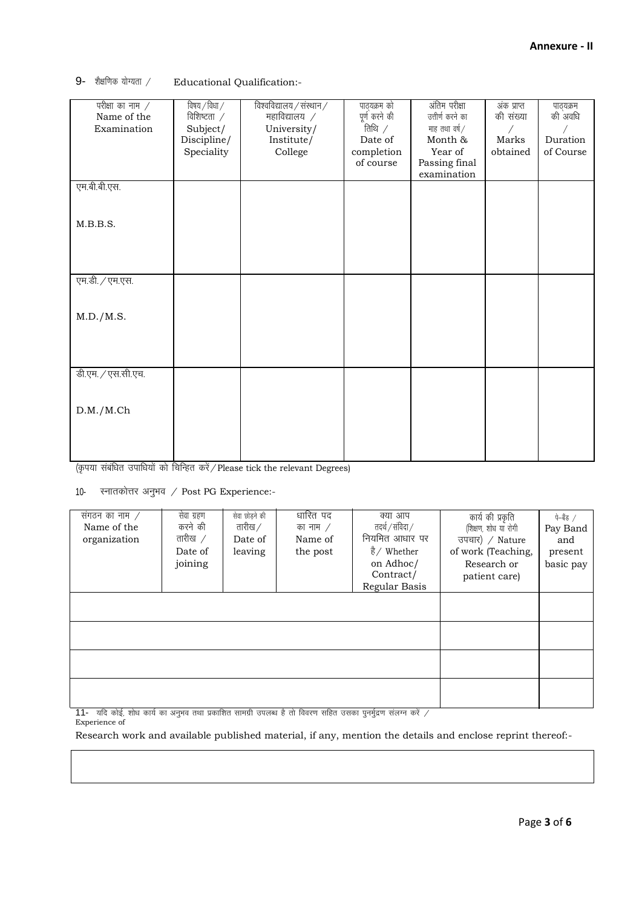9- शैक्षणिक योग्यता / Educational Qualification:-

| परीक्षा का नाम $\angle$ | विषय $/$ विधा $/$  | विश्वविद्यालय $\overline{/}$ संस्थान $\overline{/}$ | पाठ्यक्रम को  | अंतिम परीक्षा    | अंक प्राप्त | पाठ्यक्रम |
|-------------------------|--------------------|-----------------------------------------------------|---------------|------------------|-------------|-----------|
| Name of the             | विशिष्टता $\angle$ | महाविद्यालय $\not$                                  | पूर्ण करने की | उत्तीर्ण करने का | की संख्या   | की अवधि   |
| Examination             | Subject/           | University/                                         | तिथि $\angle$ | माह तथा वर्ष $/$ | Γ           |           |
|                         | Discipline/        | Institute/                                          | Date of       | Month &          | Marks       | Duration  |
|                         | Speciality         | College                                             | completion    | Year of          | obtained    | of Course |
|                         |                    |                                                     | of course     | Passing final    |             |           |
|                         |                    |                                                     |               | examination      |             |           |
| एम.बी.बी.एस.            |                    |                                                     |               |                  |             |           |
|                         |                    |                                                     |               |                  |             |           |
|                         |                    |                                                     |               |                  |             |           |
| M.B.B.S.                |                    |                                                     |               |                  |             |           |
|                         |                    |                                                     |               |                  |             |           |
|                         |                    |                                                     |               |                  |             |           |
|                         |                    |                                                     |               |                  |             |           |
| एम.डी. / एम.एस.         |                    |                                                     |               |                  |             |           |
|                         |                    |                                                     |               |                  |             |           |
|                         |                    |                                                     |               |                  |             |           |
| M.D./M.S.               |                    |                                                     |               |                  |             |           |
|                         |                    |                                                     |               |                  |             |           |
|                         |                    |                                                     |               |                  |             |           |
|                         |                    |                                                     |               |                  |             |           |
|                         |                    |                                                     |               |                  |             |           |
| डी.एम. / एस.सी.एच.      |                    |                                                     |               |                  |             |           |
|                         |                    |                                                     |               |                  |             |           |
|                         |                    |                                                     |               |                  |             |           |
| D.M./M.Ch               |                    |                                                     |               |                  |             |           |
|                         |                    |                                                     |               |                  |             |           |
|                         |                    |                                                     |               |                  |             |           |
|                         |                    |                                                     |               |                  |             |           |
|                         |                    |                                                     |               |                  |             |           |

(कृपया संबंधित उपाधियों को चिन्हित करें / Please tick the relevant Degrees)

10- स्नातकोत्तर अनुभव / Post PG Experience:-

| संगठन का नाम $\angle$<br>Name of the<br>organization | सेवा ग्रहण<br>करने की<br>तारीख $\sqrt{}$<br>Date of<br>joining | सेवा छोड़ने की<br>तारीख $\angle$<br>Date of<br>leaving | धारित पद<br>का नाम $\angle$<br>Name of<br>the post | क्या आप<br>तदर्थ / संविदा /<br>नियमित आधार पर<br>है/ Whether<br>on Adhoc/<br>Contract/<br>Regular Basis | कार्य की प्रकृति<br>(शिक्षण, शोध या रोगी<br>उपचार) / Nature<br>of work (Teaching,<br>Research or<br>patient care) | पे–बैंड /<br>Pay Band<br>and<br>present<br>basic pay |
|------------------------------------------------------|----------------------------------------------------------------|--------------------------------------------------------|----------------------------------------------------|---------------------------------------------------------------------------------------------------------|-------------------------------------------------------------------------------------------------------------------|------------------------------------------------------|
|                                                      |                                                                |                                                        |                                                    |                                                                                                         |                                                                                                                   |                                                      |

 $\frac{11-1}{10}$  यदि कोई, शोध कार्य का अनुभव तथा प्रकाशित सामग्री उपलब्ध है तो विवरण सहित उसका पुनर्मुद्रण संलग्न करें  $\sqrt{2}$ Experience of

Research work and available published material, if any, mention the details and enclose reprint thereof:-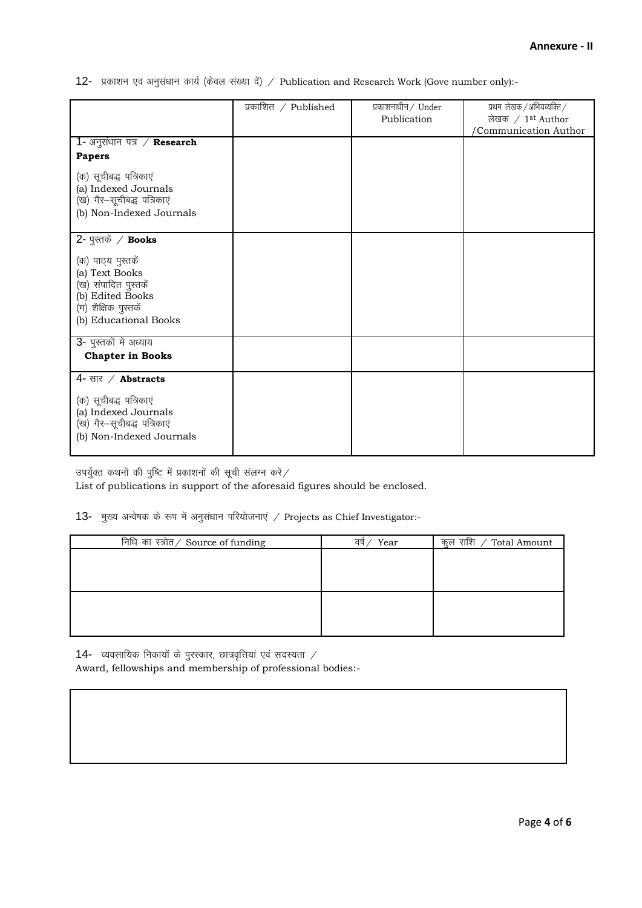12- प्रकाशन एवं अनुसंधान कार्य (केवल संख्या दें) / Publication and Research Work (Gove number only):-

|                                                                                                                                       | प्रकाशित / Published | प्रकाशनाधीन $/$ Under<br>Publication | प्रथम लेखक / अभियव्यक्ति /<br>लेखक / $1st$ Author<br>'Communication Author |
|---------------------------------------------------------------------------------------------------------------------------------------|----------------------|--------------------------------------|----------------------------------------------------------------------------|
| 1- अनुसंधान पत्र $\angle$ Research                                                                                                    |                      |                                      |                                                                            |
| <b>Papers</b>                                                                                                                         |                      |                                      |                                                                            |
| (क) सूचीबद्ध पत्रिकाएं<br>(a) Indexed Journals<br>(ख) गैर-सूचीबद्ध पत्रिकाएं<br>(b) Non-Indexed Journals                              |                      |                                      |                                                                            |
| $2$ - पुस्तकें / Books                                                                                                                |                      |                                      |                                                                            |
| (क) पाठ्य पुस्तकें<br>(a) Text Books<br>(ख) संपादित पुस्तकें<br>(b) Edited Books<br>(ग) शैक्षिक पुस्तकें<br>(b) Educational Books     |                      |                                      |                                                                            |
| 3- पुस्तकों में अध्याय<br><b>Chapter in Books</b>                                                                                     |                      |                                      |                                                                            |
| 4- सार / <b>Abstracts</b><br>(क) सूचीबद्ध पत्रिकाएं<br>(a) Indexed Journals<br>(ख) गैर–सूचीबद्ध पत्रिकाएं<br>(b) Non-Indexed Journals |                      |                                      |                                                                            |

उपर्युक्त कथनों की पुष्टि में प्रकाशनों की सूची संलग्न करें $\angle$ 

List of publications in support of the aforesaid figures should be enclosed.

#### 13- मुख्य अन्वेषक के रूप में अनुसंधान परियोजनाएं / Projects as Chief Investigator:-

14- व्यवसायिक निकायों के पुरस्कार, छात्रवृत्तियां एवं सदस्यता  $\angle$ Award, fellowships and membership of professional bodies:-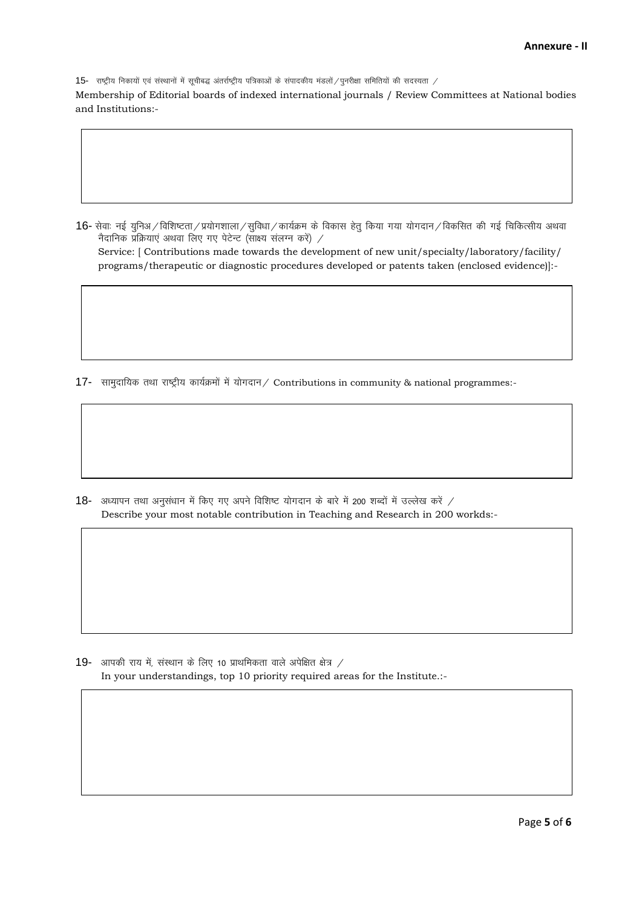15- राष्ट्रीय निकायों एवं संस्थानों में सूचीबद्ध अंतर्राष्ट्रीय पत्रिकाओं के संपादकीय मंडलों / पुनरीक्षा समितियों की सदस्यता /

Membership of Editorial boards of indexed international journals / Review Committees at National bodies and Institutions:-

16- सेवाः नई युनिअ / विशिष्टता / प्रयोगशाला / सुविधा / कार्यक्रम के विकास हेतु किया गया योगदान / विकसित की गई चिकित्सीय अथवा नैदानिक प्रक्रियाएं अथवा लिए गए पेटेन्ट (साक्ष्य संलग्न करें) / Service: [ Contributions made towards the development of new unit/specialty/laboratory/facility/ programs/therapeutic or diagnostic procedures developed or patents taken (enclosed evidence)]:-

17- सामुदायिक तथा राष्ट्रीय कार्यक्रमों में योगदान / Contributions in community & national programmes:-

18- अध्यापन तथा अनुसंधान में किए गए अपने विशिष्ट योगदान के बारे में 200 शब्दों में उल्लेख करें / Describe your most notable contribution in Teaching and Research in 200 workds:-

19- आपकी राय में, संस्थान के लिए 10 प्राथमिकता वाले अपेक्षित क्षेत्र / In your understandings, top 10 priority required areas for the Institute.:-